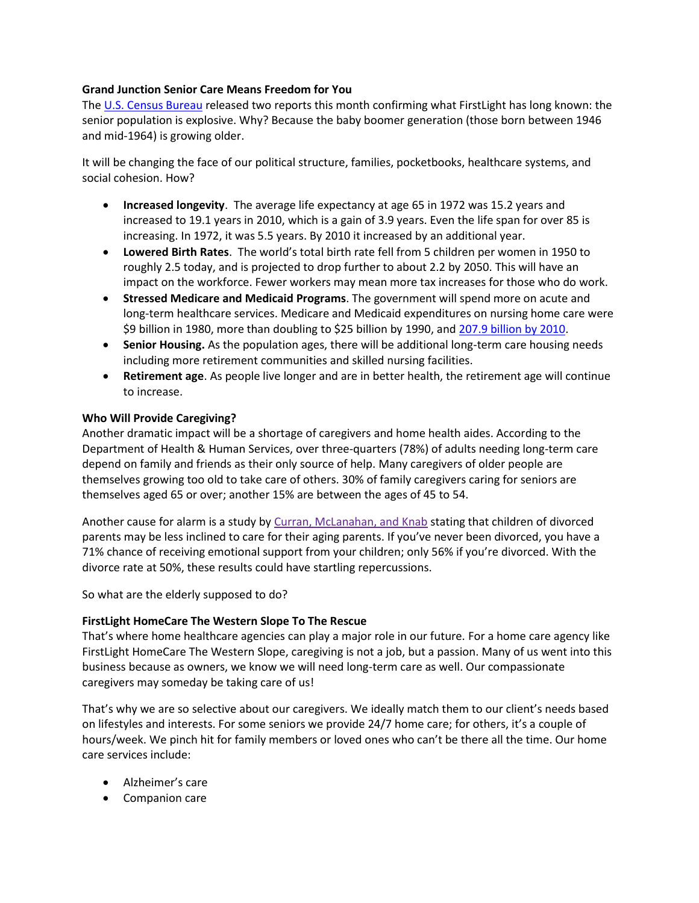## **Grand Junction Senior Care Means Freedom for You**

The [U.S. Census Bureau](http://www.census.gov/prod/2014pubs/p25-1140.pdf) released two reports this month confirming what FirstLight has long known: the senior population is explosive. Why? Because the baby boomer generation (those born between 1946 and mid-1964) is growing older.

It will be changing the face of our political structure, families, pocketbooks, healthcare systems, and social cohesion. How?

- **Increased longevity**. The average life expectancy at age 65 in 1972 was 15.2 years and increased to 19.1 years in 2010, which is a gain of 3.9 years. Even the life span for over 85 is increasing. In 1972, it was 5.5 years. By 2010 it increased by an additional year.
- **Lowered Birth Rates**. The world's total birth rate fell from 5 children per women in 1950 to roughly 2.5 today, and is projected to drop further to about 2.2 by 2050. This will have an impact on the workforce. Fewer workers may mean more tax increases for those who do work.
- **Stressed Medicare and Medicaid Programs**. The government will spend more on acute and long-term healthcare services. Medicare and Medicaid expenditures on nursing home care were \$9 billion in 1980, more than doubling to \$25 billion by 1990, and [207.9 billion by 2010.](http://www.thescanfoundation.org/sites/thescanfoundation.org/files/who_pays_for_ltc_us_jan_2013_fs.pdf)
- **Senior Housing.** As the population ages, there will be additional long-term care housing needs including more retirement communities and skilled nursing facilities.
- **Retirement age**. As people live longer and are in better health, the retirement age will continue to increase.

## **Who Will Provide Caregiving?**

Another dramatic impact will be a shortage of caregivers and home health aides. According to the Department of Health & Human Services, over three-quarters (78%) of adults needing long-term care depend on family and friends as their only source of help. Many caregivers of older people are themselves growing too old to take care of others. 30% of family caregivers caring for seniors are themselves aged 65 or over; another 15% are between the ages of 45 to 54.

Another cause for alarm is a study by [Curran, McLanahan, and Knab](http://www.ncbi.nlm.nih.gov/pmc/articles/PMC1464018/#b18) stating that children of divorced parents may be less inclined to care for their aging parents. If you've never been divorced, you have a 71% chance of receiving emotional support from your children; only 56% if you're divorced. With the divorce rate at 50%, these results could have startling repercussions.

So what are the elderly supposed to do?

## **FirstLight HomeCare The Western Slope To The Rescue**

That's where home healthcare agencies can play a major role in our future. For a home care agency like FirstLight HomeCare The Western Slope, caregiving is not a job, but a passion. Many of us went into this business because as owners, we know we will need long-term care as well. Our compassionate caregivers may someday be taking care of us!

That's why we are so selective about our caregivers. We ideally match them to our client's needs based on lifestyles and interests. For some seniors we provide 24/7 home care; for others, it's a couple of hours/week. We pinch hit for family members or loved ones who can't be there all the time. Our home care services include:

- Alzheimer's care
- Companion care